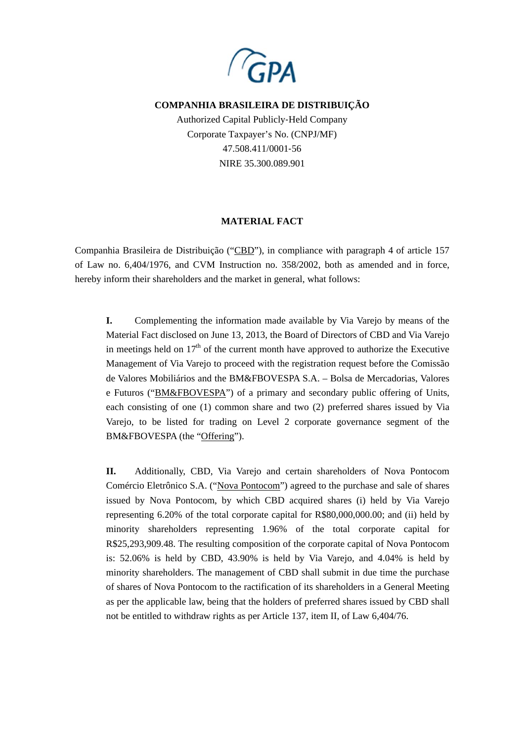

## **COMPANHIA BRASILEIRA DE DISTRIBUIÇÃO**

Authorized Capital Publicly‐Held Company Corporate Taxpayer's No. (CNPJ/MF) 47.508.411/0001‐56 NIRE 35.300.089.901

## **MATERIAL FACT**

Companhia Brasileira de Distribuição ("CBD"), in compliance with paragraph 4 of article 157 of Law no. 6,404/1976, and CVM Instruction no. 358/2002, both as amended and in force, hereby inform their shareholders and the market in general, what follows:

**I.** Complementing the information made available by Via Varejo by means of the Material Fact disclosed on June 13, 2013, the Board of Directors of CBD and Via Varejo in meetings held on  $17<sup>th</sup>$  of the current month have approved to authorize the Executive Management of Via Varejo to proceed with the registration request before the Comissão de Valores Mobiliários and the BM&FBOVESPA S.A. – Bolsa de Mercadorias, Valores e Futuros ("BM&FBOVESPA") of a primary and secondary public offering of Units, each consisting of one (1) common share and two (2) preferred shares issued by Via Varejo, to be listed for trading on Level 2 corporate governance segment of the BM&FBOVESPA (the "Offering").

**II.** Additionally, CBD, Via Varejo and certain shareholders of Nova Pontocom Comércio Eletrônico S.A. ("Nova Pontocom") agreed to the purchase and sale of shares issued by Nova Pontocom, by which CBD acquired shares (i) held by Via Varejo representing 6.20% of the total corporate capital for R\$80,000,000.00; and (ii) held by minority shareholders representing 1.96% of the total corporate capital for R\$25,293,909.48. The resulting composition of the corporate capital of Nova Pontocom is: 52.06% is held by CBD, 43.90% is held by Via Varejo, and 4.04% is held by minority shareholders. The management of CBD shall submit in due time the purchase of shares of Nova Pontocom to the ractification of its shareholders in a General Meeting as per the applicable law, being that the holders of preferred shares issued by CBD shall not be entitled to withdraw rights as per Article 137, item II, of Law 6,404/76.